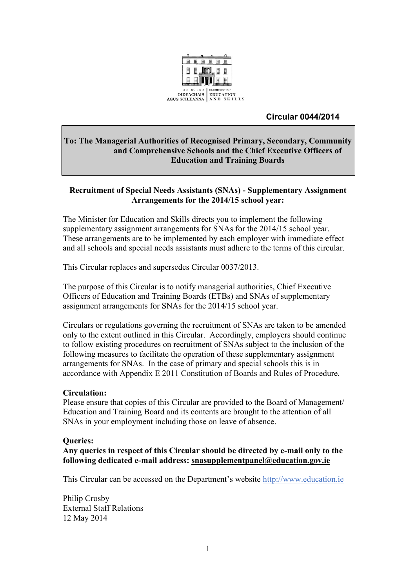

#### **Circular 0044/2014**

#### **To: The Managerial Authorities of Recognised Primary, Secondary, Community and Comprehensive Schools and the Chief Executive Officers of Education and Training Boards**

#### **Recruitment of Special Needs Assistants (SNAs) - Supplementary Assignment Arrangements for the 2014/15 school year:**

The Minister for Education and Skills directs you to implement the following supplementary assignment arrangements for SNAs for the 2014/15 school year. These arrangements are to be implemented by each employer with immediate effect and all schools and special needs assistants must adhere to the terms of this circular.

This Circular replaces and supersedes Circular 0037/2013.

The purpose of this Circular is to notify managerial authorities, Chief Executive Officers of Education and Training Boards (ETBs) and SNAs of supplementary assignment arrangements for SNAs for the 2014/15 school year.

Circulars or regulations governing the recruitment of SNAs are taken to be amended only to the extent outlined in this Circular. Accordingly, employers should continue to follow existing procedures on recruitment of SNAs subject to the inclusion of the following measures to facilitate the operation of these supplementary assignment arrangements for SNAs. In the case of primary and special schools this is in accordance with Appendix E 2011 Constitution of Boards and Rules of Procedure.

#### **Circulation:**

Please ensure that copies of this Circular are provided to the Board of Management/ Education and Training Board and its contents are brought to the attention of all SNAs in your employment including those on leave of absence.

#### **Queries:**

**Any queries in respect of this Circular should be directed by e-mail only to the following dedicated e-mail address: [snasupplementpanel@education.gov.ie](mailto:snasupplementpanel@education.gov.ie)**

This Circular can be accessed on the Department's website [http://www.education.ie](http://www.education.ie/)

Philip Crosby External Staff Relations 12 May 2014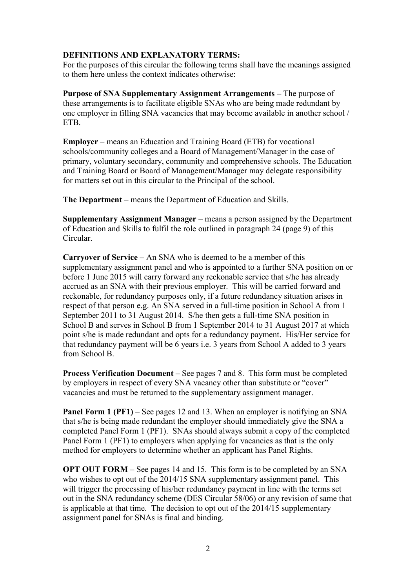#### **DEFINITIONS AND EXPLANATORY TERMS:**

For the purposes of this circular the following terms shall have the meanings assigned to them here unless the context indicates otherwise:

**Purpose of SNA Supplementary Assignment Arrangements –** The purpose of these arrangements is to facilitate eligible SNAs who are being made redundant by one employer in filling SNA vacancies that may become available in another school / **ETB.** 

**Employer** – means an Education and Training Board (ETB) for vocational schools/community colleges and a Board of Management/Manager in the case of primary, voluntary secondary, community and comprehensive schools. The Education and Training Board or Board of Management/Manager may delegate responsibility for matters set out in this circular to the Principal of the school.

**The Department** – means the Department of Education and Skills.

**Supplementary Assignment Manager** – means a person assigned by the Department of Education and Skills to fulfil the role outlined in paragraph 24 (page 9) of this Circular.

**Carryover of Service** – An SNA who is deemed to be a member of this supplementary assignment panel and who is appointed to a further SNA position on or before 1 June 2015 will carry forward any reckonable service that s/he has already accrued as an SNA with their previous employer. This will be carried forward and reckonable, for redundancy purposes only, if a future redundancy situation arises in respect of that person e.g. An SNA served in a full-time position in School A from 1 September 2011 to 31 August 2014. S/he then gets a full-time SNA position in School B and serves in School B from 1 September 2014 to 31 August 2017 at which point s/he is made redundant and opts for a redundancy payment. His/Her service for that redundancy payment will be 6 years i.e. 3 years from School A added to 3 years from School B.

**Process Verification Document** – See pages 7 and 8.This form must be completed by employers in respect of every SNA vacancy other than substitute or "cover" vacancies and must be returned to the supplementary assignment manager.

**Panel Form 1 (PF1)** – See pages 12 and 13. When an employer is notifying an SNA that s/he is being made redundant the employer should immediately give the SNA a completed Panel Form 1 (PF1). SNAs should always submit a copy of the completed Panel Form 1 (PF1) to employers when applying for vacancies as that is the only method for employers to determine whether an applicant has Panel Rights.

**OPT OUT FORM** – See pages 14 and 15. This form is to be completed by an SNA who wishes to opt out of the 2014/15 SNA supplementary assignment panel. This will trigger the processing of his/her redundancy payment in line with the terms set out in the SNA redundancy scheme (DES Circular 58/06) or any revision of same that is applicable at that time. The decision to opt out of the 2014/15 supplementary assignment panel for SNAs is final and binding.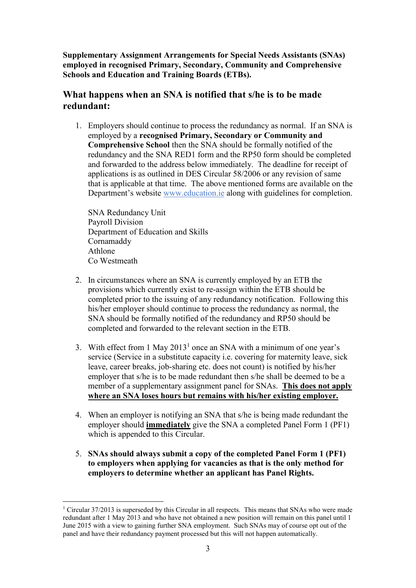**Supplementary Assignment Arrangements for Special Needs Assistants (SNAs) employed in recognised Primary, Secondary, Community and Comprehensive Schools and Education and Training Boards (ETBs).**

### **What happens when an SNA is notified that s/he is to be made redundant:**

1. Employers should continue to process the redundancy as normal. If an SNA is employed by a **recognised Primary, Secondary or Community and Comprehensive School** then the SNA should be formally notified of the redundancy and the SNA RED1 form and the RP50 form should be completed and forwarded to the address below immediately. The deadline for receipt of applications is as outlined in DES Circular 58/2006 or any revision of same that is applicable at that time. The above mentioned forms are available on the Department's website [www.education.ie](http://www.education.ie/) along with guidelines for completion.

SNA Redundancy Unit Payroll Division Department of Education and Skills Cornamaddy Athlone Co Westmeath

1

- 2. In circumstances where an SNA is currently employed by an ETB the provisions which currently exist to re-assign within the ETB should be completed prior to the issuing of any redundancy notification. Following this his/her employer should continue to process the redundancy as normal, the SNA should be formally notified of the redundancy and RP50 should be completed and forwarded to the relevant section in the ETB.
- 3. With effect from 1 May 2013<sup>1</sup> once an SNA with a minimum of one year's service (Service in a substitute capacity i.e. covering for maternity leave, sick leave, career breaks, job-sharing etc. does not count) is notified by his/her employer that s/he is to be made redundant then s/he shall be deemed to be a member of a supplementary assignment panel for SNAs. **This does not apply where an SNA loses hours but remains with his/her existing employer.**
- 4. When an employer is notifying an SNA that s/he is being made redundant the employer should **immediately** give the SNA a completed Panel Form 1 (PF1) which is appended to this Circular.
- 5. **SNAs should always submit a copy of the completed Panel Form 1 (PF1) to employers when applying for vacancies as that is the only method for employers to determine whether an applicant has Panel Rights.**

 $1$  Circular 37/2013 is superseded by this Circular in all respects. This means that SNAs who were made redundant after 1 May 2013 and who have not obtained a new position will remain on this panel until 1 June 2015 with a view to gaining further SNA employment. Such SNAs may of course opt out of the panel and have their redundancy payment processed but this will not happen automatically.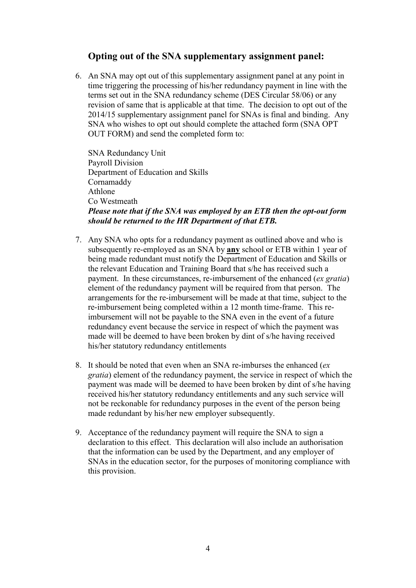### **Opting out of the SNA supplementary assignment panel:**

6. An SNA may opt out of this supplementary assignment panel at any point in time triggering the processing of his/her redundancy payment in line with the terms set out in the SNA redundancy scheme (DES Circular 58/06) or any revision of same that is applicable at that time. The decision to opt out of the 2014/15 supplementary assignment panel for SNAs is final and binding. Any SNA who wishes to opt out should complete the attached form (SNA OPT OUT FORM) and send the completed form to:

SNA Redundancy Unit Payroll Division Department of Education and Skills Cornamaddy Athlone Co Westmeath *Please note that if the SNA was employed by an ETB then the opt-out form should be returned to the HR Department of that ETB.*

- 7. Any SNA who opts for a redundancy payment as outlined above and who is subsequently re-employed as an SNA by **any** school or ETB within 1 year of being made redundant must notify the Department of Education and Skills or the relevant Education and Training Board that s/he has received such a payment. In these circumstances, re-imbursement of the enhanced (*ex gratia*) element of the redundancy payment will be required from that person. The arrangements for the re-imbursement will be made at that time, subject to the re-imbursement being completed within a 12 month time-frame. This reimbursement will not be payable to the SNA even in the event of a future redundancy event because the service in respect of which the payment was made will be deemed to have been broken by dint of s/he having received his/her statutory redundancy entitlements
- 8. It should be noted that even when an SNA re-imburses the enhanced (*ex gratia*) element of the redundancy payment, the service in respect of which the payment was made will be deemed to have been broken by dint of s/he having received his/her statutory redundancy entitlements and any such service will not be reckonable for redundancy purposes in the event of the person being made redundant by his/her new employer subsequently.
- 9. Acceptance of the redundancy payment will require the SNA to sign a declaration to this effect. This declaration will also include an authorisation that the information can be used by the Department, and any employer of SNAs in the education sector, for the purposes of monitoring compliance with this provision.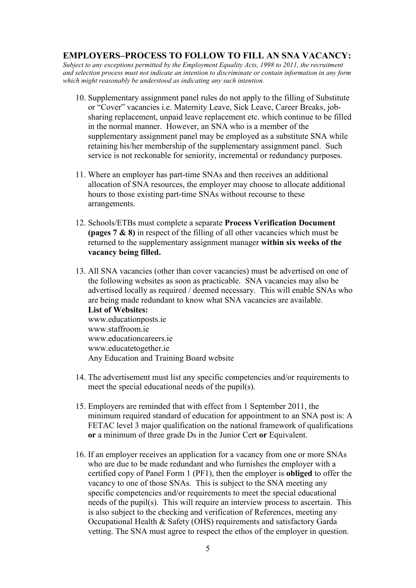#### **EMPLOYERS–PROCESS TO FOLLOW TO FILL AN SNA VACANCY:**

*Subject to any exceptions permitted by the Employment Equality Acts, 1998 to 2011, the recruitment and selection process must not indicate an intention to discriminate or contain information in any form which might reasonably be understood as indicating any such intention.*

- 10. Supplementary assignment panel rules do not apply to the filling of Substitute or "Cover" vacancies i.e. Maternity Leave, Sick Leave, Career Breaks, jobsharing replacement, unpaid leave replacement etc. which continue to be filled in the normal manner. However, an SNA who is a member of the supplementary assignment panel may be employed as a substitute SNA while retaining his/her membership of the supplementary assignment panel. Such service is not reckonable for seniority, incremental or redundancy purposes.
- 11. Where an employer has part-time SNAs and then receives an additional allocation of SNA resources, the employer may choose to allocate additional hours to those existing part-time SNAs without recourse to these arrangements.
- 12. Schools/ETBs must complete a separate **Process Verification Document (pages 7 & 8)** in respect of the filling of all other vacancies which must be returned to the supplementary assignment manager **within six weeks of the vacancy being filled.**
- 13. All SNA vacancies (other than cover vacancies) must be advertised on one of the following websites as soon as practicable. SNA vacancies may also be advertised locally as required / deemed necessary. This will enable SNAs who are being made redundant to know what SNA vacancies are available. **List of Websites:**

www.educationposts.ie [www.staffroom.ie](http://www.staffroom.ie/) www.educationcareers.ie www.educatetogether.ie Any Education and Training Board website

- 14. The advertisement must list any specific competencies and/or requirements to meet the special educational needs of the pupil(s).
- 15. Employers are reminded that with effect from 1 September 2011, the minimum required standard of education for appointment to an SNA post is: A FETAC level 3 major qualification on the national framework of qualifications **or** a minimum of three grade Ds in the Junior Cert **or** Equivalent.
- 16. If an employer receives an application for a vacancy from one or more SNAs who are due to be made redundant and who furnishes the employer with a certified copy of Panel Form 1 (PF1), then the employer is **obliged** to offer the vacancy to one of those SNAs. This is subject to the SNA meeting any specific competencies and/or requirements to meet the special educational needs of the pupil(s). This will require an interview process to ascertain. This is also subject to the checking and verification of References, meeting any Occupational Health & Safety (OHS) requirements and satisfactory Garda vetting. The SNA must agree to respect the ethos of the employer in question.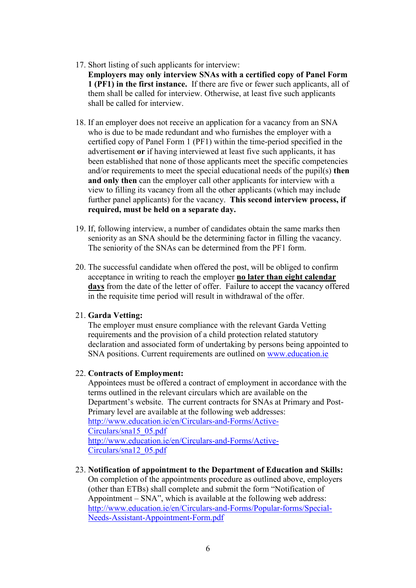17. Short listing of such applicants for interview:

**Employers may only interview SNAs with a certified copy of Panel Form 1 (PF1) in the first instance.** If there are five or fewer such applicants, all of them shall be called for interview. Otherwise, at least five such applicants shall be called for interview.

- 18. If an employer does not receive an application for a vacancy from an SNA who is due to be made redundant and who furnishes the employer with a certified copy of Panel Form 1 (PF1) within the time-period specified in the advertisement **or** if having interviewed at least five such applicants, it has been established that none of those applicants meet the specific competencies and/or requirements to meet the special educational needs of the pupil(s) **then** and only then can the employer call other applicants for interview with a view to filling its vacancy from all the other applicants (which may include further panel applicants) for the vacancy. **This second interview process, if required, must be held on a separate day.**
- 19. If, following interview, a number of candidates obtain the same marks then seniority as an SNA should be the determining factor in filling the vacancy. The seniority of the SNAs can be determined from the PF1 form.
- 20. The successful candidate when offered the post, will be obliged to confirm acceptance in writing to reach the employer **no later than eight calendar days** from the date of the letter of offer. Failure to accept the vacancy offered in the requisite time period will result in withdrawal of the offer.

#### 21. **Garda Vetting:**

The employer must ensure compliance with the relevant Garda Vetting requirements and the provision of a child protection related statutory declaration and associated form of undertaking by persons being appointed to SNA positions. Current requirements are outlined on [www.education.ie](http://www.education.ie/)

#### 22. **Contracts of Employment:**

Appointees must be offered a contract of employment in accordance with the terms outlined in the relevant circulars which are available on the Department's website. The current contracts for SNAs at Primary and Post-Primary level are available at the following web addresses: [http://www.education.ie/en/Circulars-and-Forms/Active-](http://www.education.ie/en/Circulars-and-Forms/Active-Circulars/sna15_05.pdf)[Circulars/sna15\\_05.pdf](http://www.education.ie/en/Circulars-and-Forms/Active-Circulars/sna15_05.pdf) [http://www.education.ie/en/Circulars-and-Forms/Active-](http://www.education.ie/en/Circulars-and-Forms/Active-Circulars/sna12_05.pdf)[Circulars/sna12\\_05.pdf](http://www.education.ie/en/Circulars-and-Forms/Active-Circulars/sna12_05.pdf)

23. **Notification of appointment to the Department of Education and Skills:**  On completion of the appointments procedure as outlined above, employers (other than ETBs) shall complete and submit the form "Notification of Appointment – SNA", which is available at the following web address: [http://www.education.ie/en/Circulars-and-Forms/Popular-forms/Special-](http://www.education.ie/en/Circulars-and-Forms/Popular-forms/Special-Needs-Assistant-Appointment-Form.pdf)[Needs-Assistant-Appointment-Form.pdf](http://www.education.ie/en/Circulars-and-Forms/Popular-forms/Special-Needs-Assistant-Appointment-Form.pdf)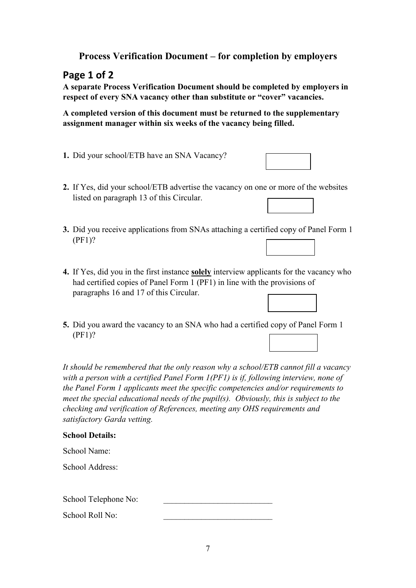## **Process Verification Document – for completion by employers**

# **Page 1 of 2**

**A separate Process Verification Document should be completed by employers in respect of every SNA vacancy other than substitute or "cover" vacancies.**

**A completed version of this document must be returned to the supplementary assignment manager within six weeks of the vacancy being filled.**

- **1.** Did your school/ETB have an SNA Vacancy?
- **2.** If Yes, did your school/ETB advertise the vacancy on one or more of the websites listed on paragraph 13 of this Circular.
- **3.** Did you receive applications from SNAs attaching a certified copy of Panel Form 1 (PF1)?
- **4.** If Yes, did you in the first instance **solely** interview applicants for the vacancy who had certified copies of Panel Form 1 (PF1) in line with the provisions of paragraphs 16 and 17 of this Circular.
- **5.** Did you award the vacancy to an SNA who had a certified copy of Panel Form 1 (PF1)?

*It should be remembered that the only reason why a school/ETB cannot fill a vacancy with a person with a certified Panel Form 1(PF1) is if, following interview, none of the Panel Form 1 applicants meet the specific competencies and/or requirements to meet the special educational needs of the pupil(s). Obviously, this is subject to the checking and verification of References, meeting any OHS requirements and satisfactory Garda vetting.*

#### **School Details:**

| School Name: |  |
|--------------|--|
|              |  |

School Address:

School Telephone No:

School Roll No:



| cants for the vac    |  |  |
|----------------------|--|--|
| $\sim$ provisions of |  |  |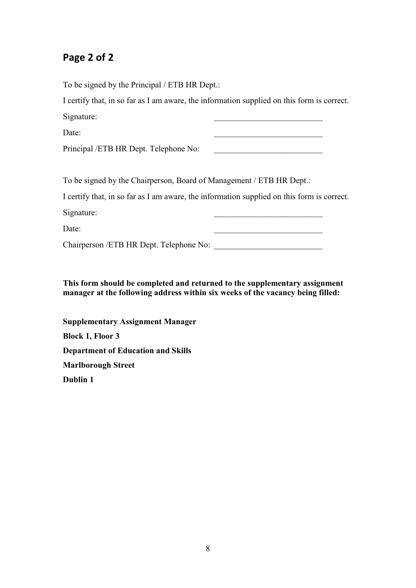# **Page 2 of 2**

To be signed by the Principal / ETB HR Dept.:

I certify that, in so far as I am aware, the information supplied on this form is correct. Signature:

Date:

Principal /ETB HR Dept. Telephone No:

To be signed by the Chairperson, Board of Management / ETB HR Dept.:

I certify that, in so far as I am aware, the information supplied on this form is correct. Signature:

Date:

Chairperson /ETB HR Dept. Telephone No: \_\_\_\_\_\_\_\_\_\_\_\_\_\_\_\_\_\_\_\_\_\_\_\_\_\_

**This form should be completed and returned to the supplementary assignment manager at the following address within six weeks of the vacancy being filled:**

**Supplementary Assignment Manager Block 1, Floor 3 Department of Education and Skills Marlborough Street Dublin 1**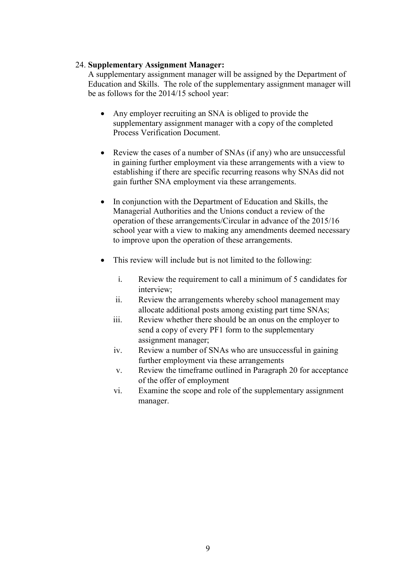#### 24. **Supplementary Assignment Manager:**

A supplementary assignment manager will be assigned by the Department of Education and Skills. The role of the supplementary assignment manager will be as follows for the 2014/15 school year:

- Any employer recruiting an SNA is obliged to provide the supplementary assignment manager with a copy of the completed Process Verification Document.
- Review the cases of a number of SNAs (if any) who are unsuccessful in gaining further employment via these arrangements with a view to establishing if there are specific recurring reasons why SNAs did not gain further SNA employment via these arrangements.
- In conjunction with the Department of Education and Skills, the Managerial Authorities and the Unions conduct a review of the operation of these arrangements/Circular in advance of the 2015/16 school year with a view to making any amendments deemed necessary to improve upon the operation of these arrangements.
- This review will include but is not limited to the following:
	- i. Review the requirement to call a minimum of 5 candidates for interview;
	- ii. Review the arrangements whereby school management may allocate additional posts among existing part time SNAs;
	- iii. Review whether there should be an onus on the employer to send a copy of every PF1 form to the supplementary assignment manager;
	- iv. Review a number of SNAs who are unsuccessful in gaining further employment via these arrangements
	- v. Review the timeframe outlined in Paragraph 20 for acceptance of the offer of employment
	- vi. Examine the scope and role of the supplementary assignment manager.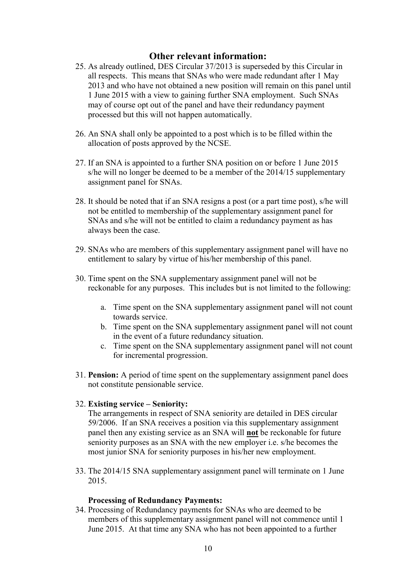#### **Other relevant information:**

- 25. As already outlined, DES Circular 37/2013 is superseded by this Circular in all respects. This means that SNAs who were made redundant after 1 May 2013 and who have not obtained a new position will remain on this panel until 1 June 2015 with a view to gaining further SNA employment. Such SNAs may of course opt out of the panel and have their redundancy payment processed but this will not happen automatically.
- 26. An SNA shall only be appointed to a post which is to be filled within the allocation of posts approved by the NCSE.
- 27. If an SNA is appointed to a further SNA position on or before 1 June 2015 s/he will no longer be deemed to be a member of the 2014/15 supplementary assignment panel for SNAs.
- 28. It should be noted that if an SNA resigns a post (or a part time post), s/he will not be entitled to membership of the supplementary assignment panel for SNAs and s/he will not be entitled to claim a redundancy payment as has always been the case.
- 29. SNAs who are members of this supplementary assignment panel will have no entitlement to salary by virtue of his/her membership of this panel.
- 30. Time spent on the SNA supplementary assignment panel will not be reckonable for any purposes. This includes but is not limited to the following:
	- a. Time spent on the SNA supplementary assignment panel will not count towards service.
	- b. Time spent on the SNA supplementary assignment panel will not count in the event of a future redundancy situation.
	- c. Time spent on the SNA supplementary assignment panel will not count for incremental progression.
- 31. **Pension:** A period of time spent on the supplementary assignment panel does not constitute pensionable service.

#### 32. **Existing service – Seniority:**

The arrangements in respect of SNA seniority are detailed in DES circular 59/2006. If an SNA receives a position via this supplementary assignment panel then any existing service as an SNA will **not** be reckonable for future seniority purposes as an SNA with the new employer i.e. s/he becomes the most junior SNA for seniority purposes in his/her new employment.

33. The 2014/15 SNA supplementary assignment panel will terminate on 1 June 2015.

#### **Processing of Redundancy Payments:**

34. Processing of Redundancy payments for SNAs who are deemed to be members of this supplementary assignment panel will not commence until 1 June 2015. At that time any SNA who has not been appointed to a further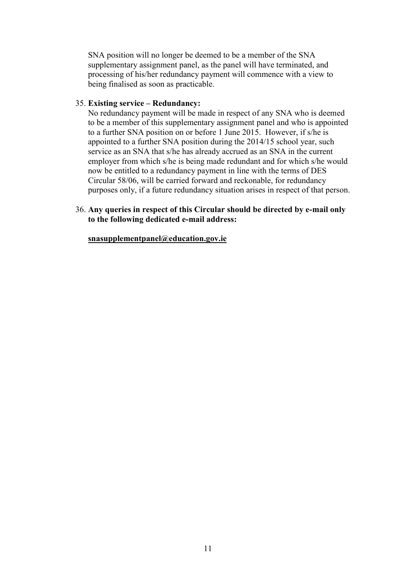SNA position will no longer be deemed to be a member of the SNA supplementary assignment panel, as the panel will have terminated, and processing of his/her redundancy payment will commence with a view to being finalised as soon as practicable.

#### 35. **Existing service – Redundancy:**

No redundancy payment will be made in respect of any SNA who is deemed to be a member of this supplementary assignment panel and who is appointed to a further SNA position on or before 1 June 2015. However, if s/he is appointed to a further SNA position during the 2014/15 school year, such service as an SNA that s/he has already accrued as an SNA in the current employer from which s/he is being made redundant and for which s/he would now be entitled to a redundancy payment in line with the terms of DES Circular 58/06, will be carried forward and reckonable, for redundancy purposes only, if a future redundancy situation arises in respect of that person.

#### 36. **Any queries in respect of this Circular should be directed by e-mail only to the following dedicated e-mail address:**

#### **[snasupplementpanel@education.gov.ie](mailto:snasupplementpanel@education.gov.ie)**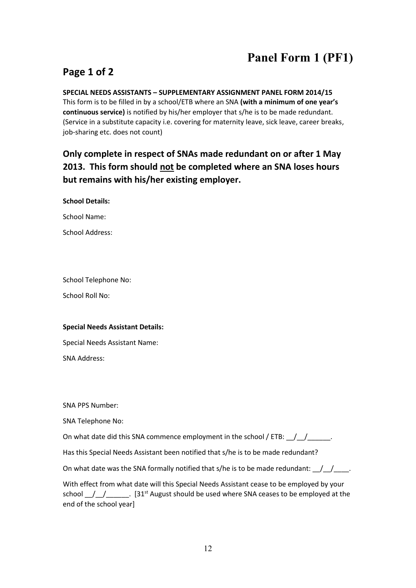# **Panel Form 1 (PF1)**

# **Page 1 of 2**

#### **SPECIAL NEEDS ASSISTANTS – SUPPLEMENTARY ASSIGNMENT PANEL FORM 2014/15**

This form is to be filled in by a school/ETB where an SNA **(with a minimum of one year's continuous service)** is notified by his/her employer that s/he is to be made redundant. (Service in a substitute capacity i.e. covering for maternity leave, sick leave, career breaks, job-sharing etc. does not count)

# **Only complete in respect of SNAs made redundant on or after 1 May 2013. This form should not be completed where an SNA loses hours but remains with his/her existing employer.**

**School Details:** 

School Name:

School Address:

School Telephone No:

School Roll No:

#### **Special Needs Assistant Details:**

Special Needs Assistant Name:

SNA Address:

SNA PPS Number:

SNA Telephone No:

On what date did this SNA commence employment in the school / ETB:  $\frac{1}{2}$ 

Has this Special Needs Assistant been notified that s/he is to be made redundant?

On what date was the SNA formally notified that s/he is to be made redundant:  $\frac{1}{2}$ 

With effect from what date will this Special Needs Assistant cease to be employed by your school  $\_$ / $\_$ / $\_$  . [31<sup>st</sup> August should be used where SNA ceases to be employed at the end of the school year]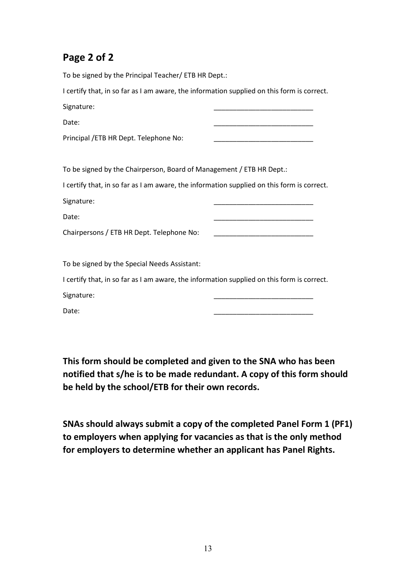# **Page 2 of 2**

To be signed by the Principal Teacher/ ETB HR Dept.: I certify that, in so far as I am aware, the information supplied on this form is correct. Signature: Date: \_\_\_\_\_\_\_\_\_\_\_\_\_\_\_\_\_\_\_\_\_\_\_\_\_\_ Principal /ETB HR Dept. Telephone No: To be signed by the Chairperson, Board of Management / ETB HR Dept.: I certify that, in so far as I am aware, the information supplied on this form is correct. Signature: Date: \_\_\_\_\_\_\_\_\_\_\_\_\_\_\_\_\_\_\_\_\_\_\_\_\_\_ Chairpersons / ETB HR Dept. Telephone No: To be signed by the Special Needs Assistant: I certify that, in so far as I am aware, the information supplied on this form is correct. Signature: Date: \_\_\_\_\_\_\_\_\_\_\_\_\_\_\_\_\_\_\_\_\_\_\_\_\_\_

**This form should be completed and given to the SNA who has been notified that s/he is to be made redundant. A copy of this form should be held by the school/ETB for their own records.**

**SNAs should always submit a copy of the completed Panel Form 1 (PF1) to employers when applying for vacancies as that is the only method for employers to determine whether an applicant has Panel Rights.**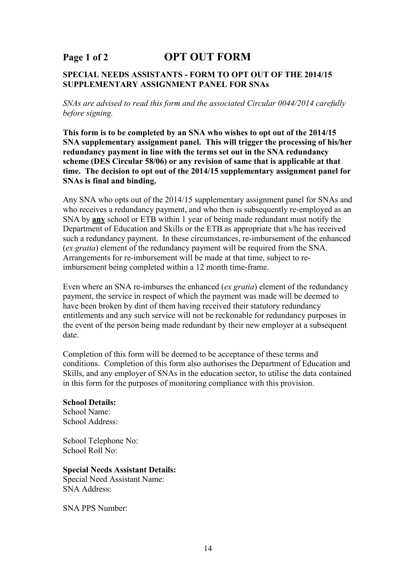# **Page 1 of 2 OPT OUT FORM**

#### **SPECIAL NEEDS ASSISTANTS - FORM TO OPT OUT OF THE 2014/15 SUPPLEMENTARY ASSIGNMENT PANEL FOR SNAs**

*SNAs are advised to read this form and the associated Circular 0044/2014 carefully before signing.* 

**This form is to be completed by an SNA who wishes to opt out of the 2014/15 SNA supplementary assignment panel. This will trigger the processing of his/her redundancy payment in line with the terms set out in the SNA redundancy scheme (DES Circular 58/06) or any revision of same that is applicable at that time. The decision to opt out of the 2014/15 supplementary assignment panel for SNAs is final and binding.** 

Any SNA who opts out of the 2014/15 supplementary assignment panel for SNAs and who receives a redundancy payment, and who then is subsequently re-employed as an SNA by **any** school or ETB within 1 year of being made redundant must notify the Department of Education and Skills or the ETB as appropriate that s/he has received such a redundancy payment. In these circumstances, re-imbursement of the enhanced (*ex gratia*) element of the redundancy payment will be required from the SNA. Arrangements for re-imbursement will be made at that time, subject to reimbursement being completed within a 12 month time-frame.

Even where an SNA re-imburses the enhanced (*ex gratia*) element of the redundancy payment, the service in respect of which the payment was made will be deemed to have been broken by dint of them having received their statutory redundancy entitlements and any such service will not be reckonable for redundancy purposes in the event of the person being made redundant by their new employer at a subsequent date.

Completion of this form will be deemed to be acceptance of these terms and conditions. Completion of this form also authorises the Department of Education and Skills, and any employer of SNAs in the education sector, to utilise the data contained in this form for the purposes of monitoring compliance with this provision.

#### **School Details:**

School Name: School Address:

School Telephone No: School Roll No:

#### **Special Needs Assistant Details:**

Special Need Assistant Name: SNA Address:

SNA PPS Number: